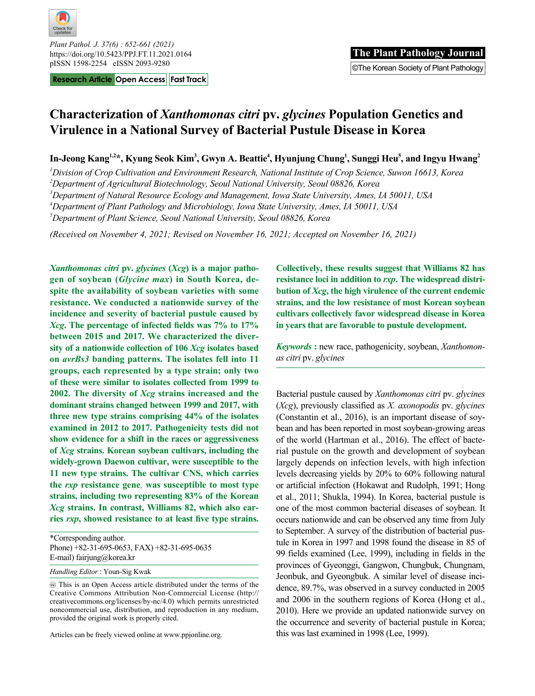

*Plant Pathol. J. 37(6) : 652-661 (2021)* https://doi.org/10.5423/PPJ.FT.11.2021.0164

**Research Article Open Access Fast Track**

# **Characterization of** *Xanthomonas citri* **pv.** *glycines* **Population Genetics and Virulence in a National Survey of Bacterial Pustule Disease in Korea**

In-Jeong Kang<sup>1,2\*</sup>, Kyung Seok Kim<sup>3</sup>, Gwyn A. Beattie<sup>4</sup>, Hyunjung Chung<sup>1</sup>, Sunggi Heu<sup>5</sup>, and Ingyu Hwang<sup>2</sup>

*1 Division of Crop Cultivation and Environment Research, National Institute of Crop Science, Suwon 16613, Korea*

*2 Department of Agricultural Biotechnology, Seoul National University, Seoul 08826, Korea*

*3 Department of Natural Resource Ecology and Management, Iowa State University, Ames, IA 50011, USA*

*4 Department of Plant Pathology and Microbiology, Iowa State University, Ames, IA 50011, USA*

*5 Department of Plant Science, Seoul National University, Seoul 08826, Korea*

*(Received on November 4, 2021; Revised on November 16, 2021; Accepted on November 16, 2021)*

*Xanthomonas citri* **pv.** *glycines* **(***Xcg***) is a major pathogen of soybean (***Glycine max***) in South Korea, despite the availability of soybean varieties with some resistance. We conducted a nationwide survey of the incidence and severity of bacterial pustule caused by**  *Xcg***. The percentage of infected fields was 7% to 17% between 2015 and 2017. We characterized the diversity of a nationwide collection of 106** *Xcg* **isolates based on** *avrBs3* **banding patterns. The isolates fell into 11 groups, each represented by a type strain; only two of these were similar to isolates collected from 1999 to 2002. The diversity of** *Xcg* **strains increased and the dominant strains changed between 1999 and 2017, with three new type strains comprising 44% of the isolates examined in 2012 to 2017. Pathogenicity tests did not show evidence for a shift in the races or aggressiveness of** *Xcg* **strains. Korean soybean cultivars, including the widely-grown Daewon cultivar, were susceptible to the 11 new type strains. The cultivar CNS, which carries the** *rxp* **resistance gene***,* **was susceptible to most type strains, including two representing 83% of the Korean**  *Xcg* **strains. In contrast, Williams 82, which also carries** *rxp***, showed resistance to at least five type strains.** 

\*Corresponding author. Phone) +82-31-695-0653, FAX) +82-31-695-0635 E-mail) fairjung@korea.kr

*Handling Editor* : Youn-Sig Kwak

 This is an Open Access article distributed under the terms of the Creative Commons Attribution Non-Commercial License (http:// creativecommons.org/licenses/by-nc/4.0) which permits unrestricted noncommercial use, distribution, and reproduction in any medium, provided the original work is properly cited.

Articles can be freely viewed online at www.ppjonline.org.

**Collectively, these results suggest that Williams 82 has resistance loci in addition to** *rxp***. The widespread distribution of** *Xcg***, the high virulence of the current endemic strains, and the low resistance of most Korean soybean cultivars collectively favor widespread disease in Korea in years that are favorable to pustule development.**

*Keywords* **:** new race, pathogenicity, soybean, *Xanthomonas citri* pv. *glycines*

Bacterial pustule caused by *Xanthomonas citri* pv. *glycines*  (*Xcg*), previously classified as *X. axonopodis* pv. *glycines* (Constantin et al., 2016), is an important disease of soybean and has been reported in most soybean-growing areas of the world (Hartman et al., 2016). The effect of bacterial pustule on the growth and development of soybean largely depends on infection levels, with high infection levels decreasing yields by 20% to 60% following natural or artificial infection (Hokawat and Rudolph, 1991; Hong et al., 2011; Shukla, 1994). In Korea, bacterial pustule is one of the most common bacterial diseases of soybean. It occurs nationwide and can be observed any time from July to September. A survey of the distribution of bacterial pustule in Korea in 1997 and 1998 found the disease in 85 of 99 fields examined (Lee, 1999), including in fields in the provinces of Gyeonggi, Gangwon, Chungbuk, Chungnam, Jeonbuk, and Gyeongbuk. A similar level of disease incidence, 89.7%, was observed in a survey conducted in 2005 and 2006 in the southern regions of Korea (Hong et al., 2010). Here we provide an updated nationwide survey on the occurrence and severity of bacterial pustule in Korea; this was last examined in 1998 (Lee, 1999).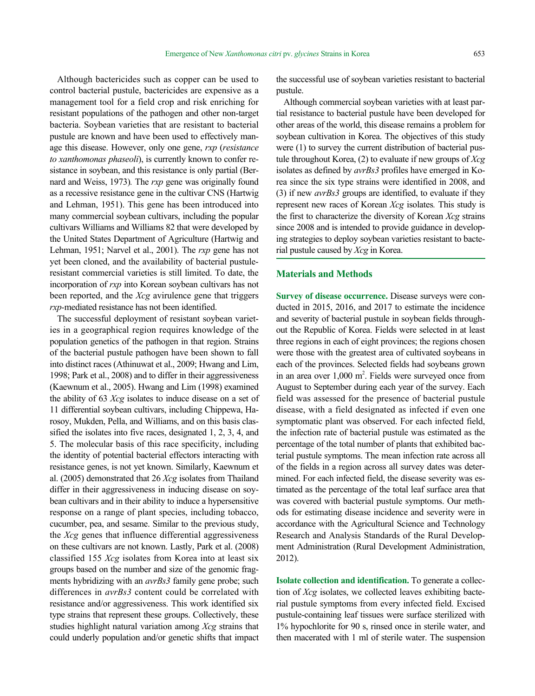Although bactericides such as copper can be used to control bacterial pustule, bactericides are expensive as a management tool for a field crop and risk enriching for resistant populations of the pathogen and other non-target bacteria. Soybean varieties that are resistant to bacterial pustule are known and have been used to effectively manage this disease. However, only one gene, *rxp* (*resistance to xanthomonas phaseoli*), is currently known to confer resistance in soybean, and this resistance is only partial (Bernard and Weiss, 1973)*.* The *rxp* gene was originally found as a recessive resistance gene in the cultivar CNS (Hartwig and Lehman, 1951). This gene has been introduced into many commercial soybean cultivars, including the popular cultivars Williams and Williams 82 that were developed by the United States Department of Agriculture (Hartwig and Lehman, 1951; Narvel et al., 2001). The *rxp* gene has not yet been cloned, and the availability of bacterial pustuleresistant commercial varieties is still limited. To date, the incorporation of *rxp* into Korean soybean cultivars has not been reported, and the *Xcg* avirulence gene that triggers *rxp-*mediated resistance has not been identified.

The successful deployment of resistant soybean varieties in a geographical region requires knowledge of the population genetics of the pathogen in that region. Strains of the bacterial pustule pathogen have been shown to fall into distinct races (Athinuwat et al., 2009; Hwang and Lim, 1998; Park et al., 2008) and to differ in their aggressiveness (Kaewnum et al., 2005). Hwang and Lim (1998) examined the ability of 63 *Xcg* isolates to induce disease on a set of 11 differential soybean cultivars, including Chippewa, Harosoy, Mukden, Pella, and Williams, and on this basis classified the isolates into five races, designated 1, 2, 3, 4, and 5. The molecular basis of this race specificity, including the identity of potential bacterial effectors interacting with resistance genes, is not yet known. Similarly, Kaewnum et al. (2005) demonstrated that 26 *Xcg* isolates from Thailand differ in their aggressiveness in inducing disease on soybean cultivars and in their ability to induce a hypersensitive response on a range of plant species, including tobacco, cucumber, pea, and sesame. Similar to the previous study, the *Xcg* genes that influence differential aggressiveness on these cultivars are not known. Lastly, Park et al. (2008) classified 155 *Xcg* isolates from Korea into at least six groups based on the number and size of the genomic fragments hybridizing with an *avrBs3* family gene probe; such differences in *avrBs3* content could be correlated with resistance and/or aggressiveness. This work identified six type strains that represent these groups. Collectively, these studies highlight natural variation among *Xcg* strains that could underly population and/or genetic shifts that impact

the successful use of soybean varieties resistant to bacterial pustule.

Although commercial soybean varieties with at least partial resistance to bacterial pustule have been developed for other areas of the world, this disease remains a problem for soybean cultivation in Korea. The objectives of this study were (1) to survey the current distribution of bacterial pustule throughout Korea, (2) to evaluate if new groups of *Xcg*  isolates as defined by *avrBs3* profiles have emerged in Korea since the six type strains were identified in 2008, and (3) if new *avrBs3* groups are identified, to evaluate if they represent new races of Korean *Xcg* isolates*.* This study is the first to characterize the diversity of Korean *Xcg* strains since 2008 and is intended to provide guidance in developing strategies to deploy soybean varieties resistant to bacterial pustule caused by *Xcg* in Korea.

### **Materials and Methods**

**Survey of disease occurrence.** Disease surveys were conducted in 2015, 2016, and 2017 to estimate the incidence and severity of bacterial pustule in soybean fields throughout the Republic of Korea. Fields were selected in at least three regions in each of eight provinces; the regions chosen were those with the greatest area of cultivated soybeans in each of the provinces. Selected fields had soybeans grown in an area over 1,000 m<sup>2</sup>. Fields were surveyed once from August to September during each year of the survey. Each field was assessed for the presence of bacterial pustule disease, with a field designated as infected if even one symptomatic plant was observed. For each infected field, the infection rate of bacterial pustule was estimated as the percentage of the total number of plants that exhibited bacterial pustule symptoms. The mean infection rate across all of the fields in a region across all survey dates was determined. For each infected field, the disease severity was estimated as the percentage of the total leaf surface area that was covered with bacterial pustule symptoms. Our methods for estimating disease incidence and severity were in accordance with the Agricultural Science and Technology Research and Analysis Standards of the Rural Development Administration (Rural Development Administration, 2012).

**Isolate collection and identification.** To generate a collection of *Xcg* isolates, we collected leaves exhibiting bacterial pustule symptoms from every infected field. Excised pustule-containing leaf tissues were surface sterilized with 1% hypochlorite for 90 s, rinsed once in sterile water, and then macerated with 1 ml of sterile water. The suspension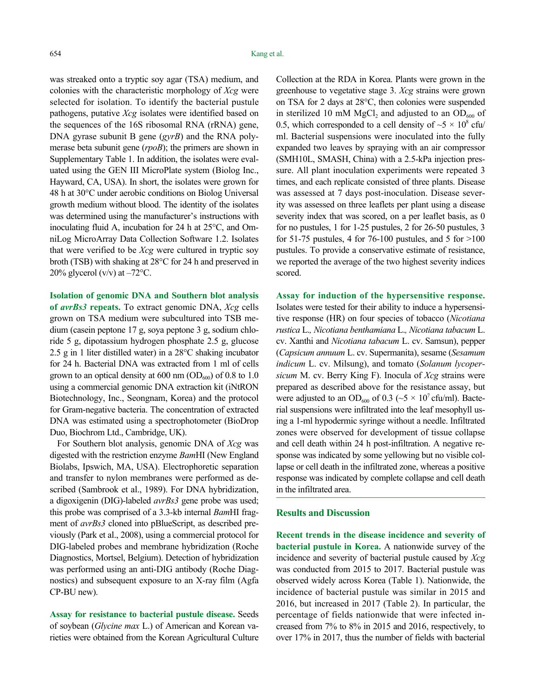was streaked onto a tryptic soy agar (TSA) medium, and colonies with the characteristic morphology of *Xcg* were selected for isolation. To identify the bacterial pustule pathogens, putative *Xcg* isolates were identified based on the sequences of the 16S ribosomal RNA (rRNA) gene, DNA gyrase subunit B gene (*gyrB*) and the RNA polymerase beta subunit gene (*rpoB*); the primers are shown in Supplementary Table 1. In addition, the isolates were evaluated using the GEN III MicroPlate system (Biolog Inc., Hayward, CA, USA). In short, the isolates were grown for 48 h at 30°C under aerobic conditions on Biolog Universal growth medium without blood. The identity of the isolates was determined using the manufacturer's instructions with inoculating fluid A, incubation for 24 h at 25°C, and OmniLog MicroArray Data Collection Software 1.2. Isolates that were verified to be *Xcg* were cultured in tryptic soy broth (TSB) with shaking at 28°C for 24 h and preserved in 20% glycerol ( $v/v$ ) at  $-72$ °C.

**Isolation of genomic DNA and Southern blot analysis of** *avrBs3* **repeats.** To extract genomic DNA, *Xcg* cells grown on TSA medium were subcultured into TSB medium (casein peptone 17 g, soya peptone 3 g, sodium chloride 5 g, dipotassium hydrogen phosphate 2.5 g, glucose 2.5 g in 1 liter distilled water) in a 28°C shaking incubator for 24 h. Bacterial DNA was extracted from 1 ml of cells grown to an optical density at 600 nm  $OD_{600}$  of 0.8 to 1.0 using a commercial genomic DNA extraction kit (iNtRON Biotechnology, Inc., Seongnam, Korea) and the protocol for Gram-negative bacteria. The concentration of extracted DNA was estimated using a spectrophotometer (BioDrop Duo, Biochrom Ltd., Cambridge, UK).

For Southern blot analysis, genomic DNA of *Xcg* was digested with the restriction enzyme *Bam*HI (New England Biolabs, Ipswich, MA, USA). Electrophoretic separation and transfer to nylon membranes were performed as described (Sambrook et al., 1989). For DNA hybridization, a digoxigenin (DIG)-labeled *avrBs3* gene probe was used; this probe was comprised of a 3.3-kb internal *Bam*HI fragment of *avrBs3* cloned into pBlueScript, as described previously (Park et al., 2008), using a commercial protocol for DIG-labeled probes and membrane hybridization (Roche Diagnostics, Mortsel, Belgium). Detection of hybridization was performed using an anti-DIG antibody (Roche Diagnostics) and subsequent exposure to an X-ray film (Agfa CP-BU new).

**Assay for resistance to bacterial pustule disease.** Seeds of soybean (*Glycine max* L.) of American and Korean varieties were obtained from the Korean Agricultural Culture Collection at the RDA in Korea. Plants were grown in the greenhouse to vegetative stage 3. *Xcg* strains were grown on TSA for 2 days at 28°C, then colonies were suspended in sterilized 10 mM  $MgCl<sub>2</sub>$  and adjusted to an OD<sub>600</sub> of 0.5, which corresponded to a cell density of  $\sim$  5  $\times$  10<sup>8</sup> cfu/ ml. Bacterial suspensions were inoculated into the fully expanded two leaves by spraying with an air compressor (SMH10L, SMASH, China) with a 2.5-kPa injection pressure. All plant inoculation experiments were repeated 3 times, and each replicate consisted of three plants. Disease was assessed at 7 days post-inoculation. Disease severity was assessed on three leaflets per plant using a disease severity index that was scored, on a per leaflet basis, as 0 for no pustules, 1 for 1-25 pustules, 2 for 26-50 pustules, 3 for 51-75 pustules, 4 for 76-100 pustules, and 5 for  $>100$ pustules. To provide a conservative estimate of resistance, we reported the average of the two highest severity indices scored.

**Assay for induction of the hypersensitive response.**  Isolates were tested for their ability to induce a hypersensitive response (HR) on four species of tobacco (*Nicotiana rustica* L.*, Nicotiana benthamiana* L.*, Nicotiana tabacum* L. cv. Xanthi and *Nicotiana tabacum* L. cv. Samsun), pepper (*Capsicum annuum* L. cv. Supermanita), sesame (*Sesamum indicum* L. cv. Milsung), and tomato (*Solanum lycopersicum* M. cv. Berry King F). Inocula of *Xcg* strains were prepared as described above for the resistance assay, but were adjusted to an OD<sub>600</sub> of 0.3 ( $\sim$ 5  $\times$  10<sup>7</sup> cfu/ml). Bacterial suspensions were infiltrated into the leaf mesophyll using a 1-ml hypodermic syringe without a needle. Infiltrated zones were observed for development of tissue collapse and cell death within 24 h post-infiltration. A negative response was indicated by some yellowing but no visible collapse or cell death in the infiltrated zone, whereas a positive response was indicated by complete collapse and cell death in the infiltrated area.

#### **Results and Discussion**

**Recent trends in the disease incidence and severity of bacterial pustule in Korea.** A nationwide survey of the incidence and severity of bacterial pustule caused by *Xcg* was conducted from 2015 to 2017. Bacterial pustule was observed widely across Korea (Table 1). Nationwide, the incidence of bacterial pustule was similar in 2015 and 2016, but increased in 2017 (Table 2). In particular, the percentage of fields nationwide that were infected increased from 7% to 8% in 2015 and 2016, respectively, to over 17% in 2017, thus the number of fields with bacterial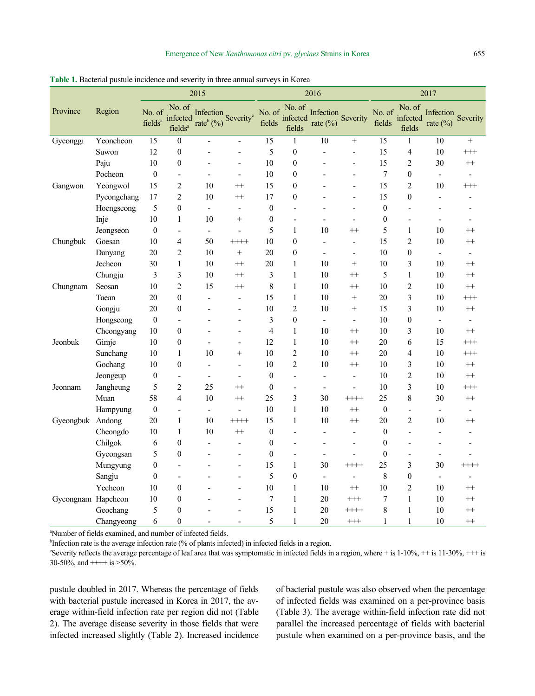|                    |             | 2015                          |                                           |                                                        | 2016                     |                  |                                     |                                   | 2017                     |                  |                              |                          |                          |
|--------------------|-------------|-------------------------------|-------------------------------------------|--------------------------------------------------------|--------------------------|------------------|-------------------------------------|-----------------------------------|--------------------------|------------------|------------------------------|--------------------------|--------------------------|
| Province           | Region      | No. of<br>fields <sup>a</sup> | No. of<br>infected<br>fields <sup>a</sup> | Infection Severity <sup>c</sup><br>rate $^{\rm b}$ (%) |                          | fields           | No. of No. of<br>infected<br>fields | Infection Severity<br>rate $(\%)$ |                          | No. of<br>fields | No. of<br>infected<br>fields | Infection<br>rate $(\%)$ | Severity                 |
| Gyeonggi           | Yeoncheon   | 15                            | $\boldsymbol{0}$                          |                                                        | $\overline{a}$           | 15               | $\mathbf{1}$                        | 10                                | $^{+}$                   | 15               | 1                            | 10                       | $\boldsymbol{+}$         |
|                    | Suwon       | 12                            | $\boldsymbol{0}$                          |                                                        |                          | 5                | $\boldsymbol{0}$                    | $\overline{a}$                    |                          | 15               | $\overline{4}$               | 10                       | $^{+++}$                 |
|                    | Paju        | 10                            | $\boldsymbol{0}$                          |                                                        |                          | 10               | $\boldsymbol{0}$                    |                                   |                          | 15               | $\overline{2}$               | 30                       | $^{++}$                  |
|                    | Pocheon     | $\boldsymbol{0}$              | $\overline{\phantom{a}}$                  | $\overline{a}$                                         | ÷                        | 10               | $\boldsymbol{0}$                    | ÷,                                | ÷                        | $\boldsymbol{7}$ | $\boldsymbol{0}$             | $\overline{\phantom{a}}$ | $\overline{\phantom{a}}$ |
| Gangwon            | Yeongwol    | 15                            | $\overline{2}$                            | 10                                                     | $^{++}$                  | 15               | $\boldsymbol{0}$                    |                                   | $\overline{a}$           | 15               | $\overline{2}$               | 10                       | $^{+++}$                 |
|                    | Pyeongchang | 17                            | $\overline{c}$                            | 10                                                     | $^{++}$                  | 17               | $\boldsymbol{0}$                    |                                   | $\overline{a}$           | 15               | $\mathbf{0}$                 | $\blacksquare$           |                          |
|                    | Hoengseong  | 5                             | $\boldsymbol{0}$                          | $\overline{\phantom{a}}$                               | $\overline{a}$           | $\boldsymbol{0}$ | L,                                  |                                   | $\overline{\phantom{a}}$ | $\boldsymbol{0}$ | $\overline{a}$               |                          |                          |
|                    | Inje        | 10                            | $\mathbf{1}$                              | 10                                                     | $^{+}$                   | $\boldsymbol{0}$ | $\overline{a}$                      | ÷,                                | $\blacksquare$           | $\boldsymbol{0}$ | $\overline{a}$               | $\overline{\phantom{a}}$ | $\blacksquare$           |
|                    | Jeongseon   | $\boldsymbol{0}$              | $\overline{\phantom{a}}$                  | $\blacksquare$                                         | $\frac{1}{2}$            | 5                | 1                                   | 10                                | $^{++}$                  | 5                | $\mathbf{1}$                 | 10                       | $^{++}$                  |
| Chungbuk           | Goesan      | 10                            | 4                                         | 50                                                     | $++++$                   | 10               | $\boldsymbol{0}$                    | ÷,                                | $\overline{\phantom{a}}$ | 15               | $\overline{2}$               | 10                       | $^{++}$                  |
|                    | Danyang     | 20                            | $\overline{2}$                            | 10                                                     |                          | 20               | $\boldsymbol{0}$                    | $\overline{a}$                    | $\blacksquare$           | 10               | $\boldsymbol{0}$             | $\overline{\phantom{a}}$ | $\blacksquare$           |
|                    | Jecheon     | 30                            | $\,1\,$                                   | 10                                                     | $^{++}$                  | 20               | $\mathbf{1}$                        | 10                                | $^{+}$                   | 10               | 3                            | 10                       | $++$                     |
|                    | Chungju     | 3                             | $\overline{3}$                            | 10                                                     | $^{++}$                  | 3                | $\mathbf{1}$                        | 10                                | $^{++}$                  | 5                | $\mathbf{1}$                 | 10                       | $++$                     |
| Chungnam           | Seosan      | 10                            | $\overline{2}$                            | 15                                                     | $^{++}$                  | 8                | $\mathbf{1}$                        | 10                                | $^{++}$                  | 10               | $\overline{c}$               | 10                       | $^{++}$                  |
|                    | Taean       | 20                            | $\boldsymbol{0}$                          | $\overline{a}$                                         | $\blacksquare$           | 15               | $\mathbf{1}$                        | 10                                | $^{+}$                   | 20               | $\overline{3}$               | 10                       | $^{+++}$                 |
|                    | Gongju      | 20                            | $\boldsymbol{0}$                          | L,                                                     | L,                       | 10               | $\overline{2}$                      | 10                                | $^{+}$                   | 15               | $\overline{3}$               | 10                       | $++$                     |
|                    | Hongseong   | $\boldsymbol{0}$              | $\blacksquare$                            |                                                        | $\overline{\phantom{a}}$ | 3                | $\boldsymbol{0}$                    | $\blacksquare$                    | $\blacksquare$           | 10               | $\boldsymbol{0}$             | $\blacksquare$           | $\blacksquare$           |
|                    | Cheongyang  | 10                            | $\boldsymbol{0}$                          |                                                        | $\overline{a}$           | $\overline{4}$   | $\mathbf{1}$                        | 10                                | $^{++}$                  | 10               | 3                            | 10                       | $^{++}$                  |
| Jeonbuk            | Gimje       | 10                            | $\boldsymbol{0}$                          | $\overline{\phantom{a}}$                               | $\overline{a}$           | 12               | 1                                   | 10                                | $^{++}$                  | 20               | 6                            | 15                       | $^{+++}$                 |
|                    | Sunchang    | 10                            | $\mathbf{1}$                              | 10                                                     |                          | 10               | $\overline{2}$                      | 10                                | $^{++}$                  | 20               | 4                            | 10                       | $^{+++}$                 |
|                    | Gochang     | 10                            | $\boldsymbol{0}$                          | $\overline{a}$                                         | $\overline{a}$           | 10               | $\overline{c}$                      | 10                                | $^{++}$                  | 10               | 3                            | 10                       | $^{\rm ++}$              |
|                    | Jeongeup    | $\boldsymbol{0}$              | $\overline{\phantom{a}}$                  | $\blacksquare$                                         | $\overline{a}$           | $\mathbf{0}$     | $\overline{\phantom{0}}$            | $\overline{\phantom{a}}$          | $\overline{\phantom{a}}$ | 10               | $\overline{2}$               | 10                       | $++$                     |
| Jeonnam            | Jangheung   | 5                             | $\overline{c}$                            | 25                                                     | $^{++}$                  | $\boldsymbol{0}$ | $\overline{a}$                      | $\overline{a}$                    |                          | 10               | $\overline{3}$               | 10                       | $^{+++}$                 |
|                    | Muan        | 58                            | $\overline{4}$                            | 10                                                     | $^{++}$                  | 25               | $\overline{\mathbf{3}}$             | 30                                | $++++$                   | 25               | 8                            | 30                       | $^{++}$                  |
|                    | Hampyung    | $\boldsymbol{0}$              | $\overline{\phantom{0}}$                  | $\blacksquare$                                         | ٠                        | 10               | $\mathbf{1}$                        | 10                                | $^{++}$                  | $\boldsymbol{0}$ | $\blacksquare$               | $\blacksquare$           | $\overline{\phantom{a}}$ |
| Gyeongbuk Andong   |             | 20                            | $\,1\,$                                   | 10                                                     | $++++$                   | 15               | $\mathbf{1}$                        | 10                                | $^{++}$                  | 20               | $\overline{2}$               | 10                       | $^{++}$                  |
|                    | Cheongdo    | 10                            | $\mathbf{1}$                              | 10                                                     | $^{++}$                  | $\boldsymbol{0}$ | ÷,                                  | $\overline{\phantom{a}}$          | $\overline{\phantom{a}}$ | $\mathbf{0}$     | $\overline{\phantom{a}}$     | $\blacksquare$           | $\overline{a}$           |
|                    | Chilgok     | 6                             | $\boldsymbol{0}$                          | ÷,                                                     | ÷,                       | $\boldsymbol{0}$ | L,                                  | $\overline{a}$                    | $\overline{a}$           | $\overline{0}$   |                              | $\overline{a}$           |                          |
|                    | Gyeongsan   | 5                             | $\boldsymbol{0}$                          |                                                        |                          | $\boldsymbol{0}$ | $\overline{\phantom{0}}$            | $\overline{\phantom{a}}$          | $\blacksquare$           | $\overline{0}$   | $\overline{a}$               | $\overline{\phantom{a}}$ | $\overline{\phantom{a}}$ |
|                    | Mungyung    | $\boldsymbol{0}$              | $\overline{\phantom{a}}$                  | ÷                                                      | $\blacksquare$           | 15               | 1                                   | 30                                | $++++$                   | 25               | 3                            | 30                       | $++++$                   |
|                    | Sangju      | $\boldsymbol{0}$              | $\blacksquare$                            |                                                        | $\overline{a}$           | 5                | $\boldsymbol{0}$                    | $\blacksquare$                    | $\blacksquare$           | $\,$ $\,$        | $\boldsymbol{0}$             | $\blacksquare$           | $\overline{\phantom{a}}$ |
|                    | Yecheon     | 10                            | $\boldsymbol{0}$                          |                                                        | $\overline{\phantom{a}}$ | 10               | $\mathbf{1}$                        | 10                                | $^{++}$                  | 10               | $\overline{2}$               | 10                       | $^{++}$                  |
| Gyeongnam Hapcheon |             | $10\,$                        | $\boldsymbol{0}$                          |                                                        |                          | 7                | $\mathbf{1}$                        | 20                                | $^{+++}$                 | 7                | $\mathbf{1}$                 | 10                       | $^{++}$                  |
|                    | Geochang    | 5                             | $\boldsymbol{0}$                          |                                                        |                          | 15               | $\mathbf{1}$                        | 20                                | $++++$                   | 8                | $\mathbf{1}$                 | 10                       | $^{++}$                  |
|                    | Changyeong  | 6                             | $\boldsymbol{0}$                          |                                                        |                          | 5                | $\mathbf{1}$                        | 20                                | $^{+++}$                 | $\mathbf{1}$     | $\mathbf{1}$                 | 10                       | $^{++}$                  |

**Table 1.** Bacterial pustule incidence and severity in three annual surveys in Korea

a Number of fields examined, and number of infected fields.

<sup>b</sup>Infection rate is the average infection rate (% of plants infected) in infected fields in a region.

Severity reflects the average percentage of leaf area that was symptomatic in infected fields in a region, where  $+$  is  $1-10\%$ ,  $++$  is  $11-30\%$ ,  $++$  is 30-50%, and  $+++$  is  $>50\%$ .

pustule doubled in 2017. Whereas the percentage of fields with bacterial pustule increased in Korea in 2017, the average within-field infection rate per region did not (Table 2). The average disease severity in those fields that were infected increased slightly (Table 2). Increased incidence

of bacterial pustule was also observed when the percentage of infected fields was examined on a per-province basis (Table 3). The average within-field infection rate did not parallel the increased percentage of fields with bacterial pustule when examined on a per-province basis, and the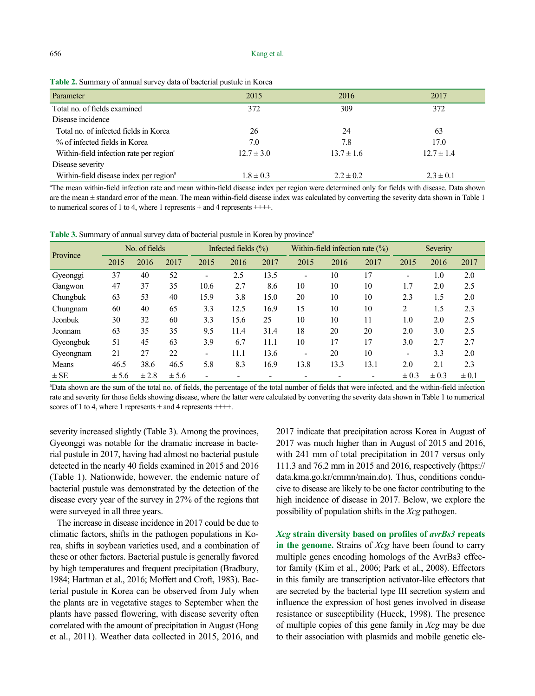| Parameter                                           | 2015           | 2016           | 2017           |
|-----------------------------------------------------|----------------|----------------|----------------|
| Total no. of fields examined                        | 372            | 309            | 372            |
| Disease incidence                                   |                |                |                |
| Total no. of infected fields in Korea               | 26             | 24             | 63             |
| % of infected fields in Korea                       | 7.0            | 7.8            | 17.0           |
| Within-field infection rate per region <sup>a</sup> | $12.7 \pm 3.0$ | $13.7 \pm 1.6$ | $12.7 \pm 1.4$ |
| Disease severity                                    |                |                |                |
| Within-field disease index per region <sup>a</sup>  | $1.8 \pm 0.3$  | $2.2 \pm 0.2$  | $2.3 \pm 0.1$  |

**Table 2.** Summary of annual survey data of bacterial pustule in Korea

a The mean within-field infection rate and mean within-field disease index per region were determined only for fields with disease. Data shown are the mean  $\pm$  standard error of the mean. The mean within-field disease index was calculated by converting the severity data shown in Table 1 to numerical scores of 1 to 4, where 1 represents  $+$  and 4 represents  $+++$ .

**Table 3.** Summary of annual survey data of bacterial pustule in Korea by province<sup>a</sup>

|           | No. of fields |           |       | Infected fields $(\% )$ |      |      |      |      | Within-field infection rate $(\%)$ | Severity                 |           |           |
|-----------|---------------|-----------|-------|-------------------------|------|------|------|------|------------------------------------|--------------------------|-----------|-----------|
| Province  | 2015          | 2016      | 2017  | 2015                    | 2016 | 2017 | 2015 | 2016 | 2017                               | 2015                     | 2016      | 2017      |
| Gyeonggi  | 37            | 40        | 52    |                         | 2.5  | 13.5 | -    | 10   | 17                                 | -                        | 1.0       | 2.0       |
| Gangwon   | 47            | 37        | 35    | 10.6                    | 2.7  | 8.6  | 10   | 10   | 10                                 | 1.7                      | 2.0       | 2.5       |
| Chungbuk  | 63            | 53        | 40    | 15.9                    | 3.8  | 15.0 | 20   | 10   | 10                                 | 2.3                      | 1.5       | 2.0       |
| Chungnam  | 60            | 40        | 65    | 3.3                     | 12.5 | 16.9 | 15   | 10   | 10                                 | 2                        | 1.5       | 2.3       |
| Jeonbuk   | 30            | 32        | 60    | 3.3                     | 15.6 | 25   | 10   | 10   | 11                                 | 1.0                      | 2.0       | 2.5       |
| Jeonnam   | 63            | 35        | 35    | 9.5                     | 11.4 | 31.4 | 18   | 20   | 20                                 | 2.0                      | 3.0       | 2.5       |
| Gyeongbuk | 51            | 45        | 63    | 3.9                     | 6.7  | 11.1 | 10   | 17   | 17                                 | 3.0                      | 2.7       | 2.7       |
| Gyeongnam | 21            | 27        | 22    |                         | 11.1 | 13.6 | -    | 20   | 10                                 | $\overline{\phantom{0}}$ | 3.3       | 2.0       |
| Means     | 46.5          | 38.6      | 46.5  | 5.8                     | 8.3  | 16.9 | 13.8 | 13.3 | 13.1                               | 2.0                      | 2.1       | 2.3       |
| $\pm$ SE  | ± 5.6         | $\pm 2.8$ | ± 5.6 |                         |      |      |      |      |                                    | $\pm 0.3$                | $\pm 0.3$ | $\pm 0.1$ |

a Data shown are the sum of the total no. of fields, the percentage of the total number of fields that were infected, and the within-field infection rate and severity for those fields showing disease, where the latter were calculated by converting the severity data shown in Table 1 to numerical scores of 1 to 4, where 1 represents  $+$  and 4 represents  $+++$ .

severity increased slightly (Table 3). Among the provinces, Gyeonggi was notable for the dramatic increase in bacterial pustule in 2017, having had almost no bacterial pustule detected in the nearly 40 fields examined in 2015 and 2016 (Table 1). Nationwide, however, the endemic nature of bacterial pustule was demonstrated by the detection of the disease every year of the survey in 27% of the regions that were surveyed in all three years.

The increase in disease incidence in 2017 could be due to climatic factors, shifts in the pathogen populations in Korea, shifts in soybean varieties used, and a combination of these or other factors. Bacterial pustule is generally favored by high temperatures and frequent precipitation (Bradbury, 1984; Hartman et al., 2016; Moffett and Croft, 1983). Bacterial pustule in Korea can be observed from July when the plants are in vegetative stages to September when the plants have passed flowering, with disease severity often correlated with the amount of precipitation in August (Hong et al., 2011). Weather data collected in 2015, 2016, and

2017 indicate that precipitation across Korea in August of 2017 was much higher than in August of 2015 and 2016, with 241 mm of total precipitation in 2017 versus only 111.3 and 76.2 mm in 2015 and 2016, respectively (https:// data.kma.go.kr/cmmn/main.do). Thus, conditions conducive to disease are likely to be one factor contributing to the high incidence of disease in 2017. Below, we explore the possibility of population shifts in the *Xcg* pathogen.

*Xcg* **strain diversity based on profiles of** *avrBs3* **repeats in the genome.** Strains of *Xcg* have been found to carry multiple genes encoding homologs of the AvrBs3 effector family (Kim et al., 2006; Park et al., 2008). Effectors in this family are transcription activator-like effectors that are secreted by the bacterial type III secretion system and influence the expression of host genes involved in disease resistance or susceptibility (Hueck, 1998). The presence of multiple copies of this gene family in *Xcg* may be due to their association with plasmids and mobile genetic ele-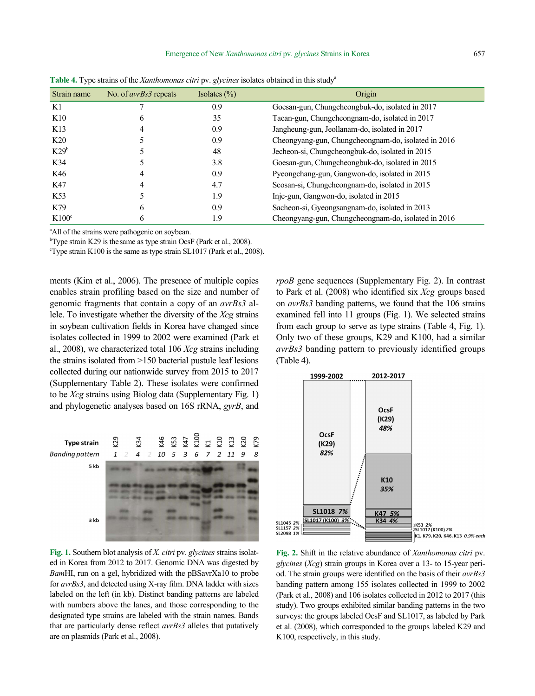| . .              |                              | $\sim$ $\sim$    |                                                     |
|------------------|------------------------------|------------------|-----------------------------------------------------|
| Strain name      | No. of <i>avrBs3</i> repeats | Isolates $(\% )$ | Origin                                              |
| K1               |                              | 0.9              | Goesan-gun, Chungcheongbuk-do, isolated in 2017     |
| K10              |                              | 35               | Taean-gun, Chungcheongnam-do, isolated in 2017      |
| K <sub>13</sub>  |                              | 0.9              | Jangheung-gun, Jeollanam-do, isolated in 2017       |
| K20              |                              | 0.9              | Cheongyang-gun, Chungcheongnam-do, isolated in 2016 |
| K29 <sup>b</sup> |                              | 48               | Jecheon-si, Chungcheongbuk-do, isolated in 2015     |
| K34              |                              | 3.8              | Goesan-gun, Chungcheongbuk-do, isolated in 2015     |
| K46              |                              | 0.9              | Pyeongchang-gun, Gangwon-do, isolated in 2015       |
| K47              |                              | 4.7              | Seosan-si, Chungcheongnam-do, isolated in 2015      |
| K <sub>53</sub>  |                              | 1.9              | Inje-gun, Gangwon-do, isolated in 2015              |
| K79              | h                            | 0.9              | Sacheon-si, Gyeongsangnam-do, isolated in 2013      |
| $K100^{\circ}$   |                              | 1.9              | Cheongyang-gun, Chungcheongnam-do, isolated in 2016 |

**Table 4.** Type strains of the *Xanthomonas citri* pv. *glycines* isolates obtained in this studya

<sup>a</sup>All of the strains were pathogenic on soybean.

<sup>b</sup> Type strain K29 is the same as type strain OcsF (Park et al., 2008).<br><sup>c</sup> Type strain K100 is the same as type strain SI 1017 (Park et al., 2008).

 $\textdegree$ Type strain K100 is the same as type strain SL1017 (Park et al., 2008).

ments (Kim et al., 2006). The presence of multiple copies enables strain profiling based on the size and number of genomic fragments that contain a copy of an *avrBs3* allele. To investigate whether the diversity of the *Xcg* strains in soybean cultivation fields in Korea have changed since isolates collected in 1999 to 2002 were examined (Park et al., 2008), we characterized total 106 *Xcg* strains including the strains isolated from >150 bacterial pustule leaf lesions collected during our nationwide survey from 2015 to 2017 (Supplementary Table 2). These isolates were confirmed to be *Xcg* strains using Biolog data (Supplementary Fig. 1) and phylogenetic analyses based on 16S rRNA, *gyrB*, and



**Fig. 1.** Southern blot analysis of *X. citri* pv. *glycines* strains isolated in Korea from 2012 to 2017. Genomic DNA was digested by *Bam*HI, run on a gel, hybridized with the pBSavrXa10 to probe for *avrBs3*, and detected using X-ray film. DNA ladder with sizes labeled on the left (in kb). Distinct banding patterns are labeled with numbers above the lanes, and those corresponding to the designated type strains are labeled with the strain names. Bands that are particularly dense reflect *avrBs3* alleles that putatively are on plasmids (Park et al., 2008).

*rpoB* gene sequences (Supplementary Fig. 2). In contrast to Park et al. (2008) who identified six *Xcg* groups based on *avrBs3* banding patterns, we found that the 106 strains examined fell into 11 groups (Fig. 1). We selected strains from each group to serve as type strains (Table 4, Fig. 1). Only two of these groups, K29 and K100, had a similar *avrBs3* banding pattern to previously identified groups (Table 4).



**Fig. 2.** Shift in the relative abundance of *Xanthomonas citri* pv. *glycines* (*Xcg*) strain groups in Korea over a 13- to 15-year period. The strain groups were identified on the basis of their *avrBs3*  banding pattern among 155 isolates collected in 1999 to 2002 (Park et al., 2008) and 106 isolates collected in 2012 to 2017 (this study). Two groups exhibited similar banding patterns in the two surveys: the groups labeled OcsF and SL1017, as labeled by Park et al. (2008), which corresponded to the groups labeled K29 and K100, respectively, in this study.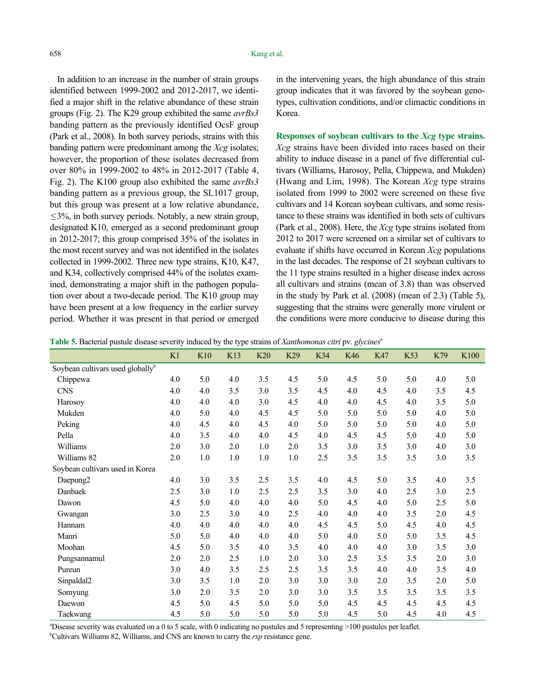In addition to an increase in the number of strain groups identified between 1999-2002 and 2012-2017, we identified a major shift in the relative abundance of these strain groups (Fig. 2). The K29 group exhibited the same *avrBs3*  banding pattern as the previously identified OcsF group (Park et al., 2008). In both survey periods, strains with this banding pattern were predominant among the *Xcg* isolates; however, the proportion of these isolates decreased from over 80% in 1999-2002 to 48% in 2012-2017 (Table 4, Fig. 2). The K100 group also exhibited the same *avrBs3*  banding pattern as a previous group, the SL1017 group, but this group was present at a low relative abundance,  $\leq$ 3%, in both survey periods. Notably, a new strain group, designated K10, emerged as a second predominant group in 2012-2017; this group comprised 35% of the isolates in the most recent survey and was not identified in the isolates collected in 1999-2002. Three new type strains, K10, K47, and K34, collectively comprised 44% of the isolates examined, demonstrating a major shift in the pathogen population over about a two-decade period. The K10 group may have been present at a low frequency in the earlier survey period. Whether it was present in that period or emerged in the intervening years, the high abundance of this strain group indicates that it was favored by the soybean genotypes, cultivation conditions, and/or climactic conditions in Korea.

**Responses of soybean cultivars to the** *Xcg* **type strains.**  *Xcg* strains have been divided into races based on their ability to induce disease in a panel of five differential cultivars (Williams, Harosoy, Pella, Chippewa, and Mukden) (Hwang and Lim, 1998). The Korean *Xcg* type strains isolated from 1999 to 2002 were screened on these five cultivars and 14 Korean soybean cultivars, and some resistance to these strains was identified in both sets of cultivars (Park et al., 2008). Here, the *Xcg* type strains isolated from 2012 to 2017 were screened on a similar set of cultivars to evaluate if shifts have occurred in Korean *Xcg* populations in the last decades. The response of 21 soybean cultivars to the 11 type strains resulted in a higher disease index across all cultivars and strains (mean of 3.8) than was observed in the study by Park et al. (2008) (mean of 2.3) (Table 5), suggesting that the strains were generally more virulent or the conditions were more conducive to disease during this

**Table 5.** Bacterial pustule disease severity induced by the type strains of *Xanthomonas citri* pv. *glycines*<sup>a</sup>

|                                              | K1  | K10 | K13 | K20 | K <sub>29</sub> | K34 | K46 | K47 | K <sub>53</sub> | K79 | K <sub>100</sub> |
|----------------------------------------------|-----|-----|-----|-----|-----------------|-----|-----|-----|-----------------|-----|------------------|
| Soybean cultivars used globally <sup>b</sup> |     |     |     |     |                 |     |     |     |                 |     |                  |
| Chippewa                                     | 4.0 | 5.0 | 4.0 | 3.5 | 4.5             | 5.0 | 4.5 | 5.0 | 5.0             | 4.0 | 5.0              |
| <b>CNS</b>                                   | 4.0 | 4.0 | 3.5 | 3.0 | 3.5             | 4.5 | 4.0 | 4.5 | 4.0             | 3.5 | 4.5              |
| Harosov                                      | 4.0 | 4.0 | 4.0 | 3.0 | 4.5             | 4.0 | 4.0 | 4.5 | 4.0             | 3.5 | 5.0              |
| Mukden                                       | 4.0 | 5.0 | 4.0 | 4.5 | 4.5             | 5.0 | 5.0 | 5.0 | 5.0             | 4.0 | 5.0              |
| Peking                                       | 4.0 | 4.5 | 4.0 | 4.5 | 4.0             | 5.0 | 5.0 | 5.0 | 5.0             | 4.0 | 5.0              |
| Pella                                        | 4.0 | 3.5 | 4.0 | 4.0 | 4.5             | 4.0 | 4.5 | 4.5 | 5.0             | 4.0 | 5.0              |
| Williams                                     | 2.0 | 3.0 | 2.0 | 1.0 | 2.0             | 3.5 | 3.0 | 3.5 | 3.0             | 4.0 | 3.0              |
| Williams 82                                  | 2.0 | 1.0 | 1.0 | 1.0 | 1.0             | 2.5 | 3.5 | 3.5 | 3.5             | 3.0 | 3.5              |
| Soybean cultivars used in Korea              |     |     |     |     |                 |     |     |     |                 |     |                  |
| Daepung <sub>2</sub>                         | 4.0 | 3.0 | 3.5 | 2.5 | 3.5             | 4.0 | 4.5 | 5.0 | 3.5             | 4.0 | 3.5              |
| Danbaek                                      | 2.5 | 3.0 | 1.0 | 2.5 | 2.5             | 3.5 | 3.0 | 4.0 | 2.5             | 3.0 | 2.5              |
| Dawon                                        | 4.5 | 5.0 | 4.0 | 4.0 | 4.0             | 5.0 | 4.5 | 4.0 | 5.0             | 2.5 | 5.0              |
| Gwangan                                      | 3.0 | 2.5 | 3.0 | 4.0 | 2.5             | 4.0 | 4.0 | 4.0 | 3.5             | 2.0 | 4.5              |
| Hannam                                       | 4.0 | 4.0 | 4.0 | 4.0 | 4.0             | 4.5 | 4.5 | 5.0 | 4.5             | 4.0 | 4.5              |
| Manri                                        | 5.0 | 5.0 | 4.0 | 4.0 | 4.0             | 5.0 | 4.0 | 5.0 | 5.0             | 3.5 | 4.5              |
| Moohan                                       | 4.5 | 5.0 | 3.5 | 4.0 | 3.5             | 4.0 | 4.0 | 4.0 | 3.0             | 3.5 | 3.0              |
| Pungsannamul                                 | 2.0 | 2.0 | 2.5 | 1.0 | 2.0             | 3.0 | 2.5 | 3.5 | 3.5             | 2.0 | 3.0              |
| Pureun                                       | 3.0 | 4.0 | 3.5 | 2.5 | 2.5             | 3.5 | 3.5 | 4.0 | 4.0             | 3.5 | 4.0              |
| Sinpaldal2                                   | 3.0 | 3.5 | 1.0 | 2.0 | 3.0             | 3.0 | 3.0 | 2.0 | 3.5             | 2.0 | 5.0              |
| Somyung                                      | 3.0 | 2.0 | 3.5 | 2.0 | 3.0             | 3.0 | 3.5 | 3.5 | 3.5             | 3.5 | 3.5              |
| Daewon                                       | 4.5 | 5.0 | 4.5 | 5.0 | 5.0             | 5.0 | 4.5 | 4.5 | 4.5             | 4.5 | 4.5              |
| Taekwang                                     | 4.5 | 5.0 | 5.0 | 5.0 | 5.0             | 5.0 | 4.5 | 5.0 | 4.5             | 4.0 | 4.5              |

a Disease severity was evaluated on a 0 to 5 scale, with 0 indicating no pustules and 5 representing >100 pustules per leaflet.

b Cultivars Williams 82, Williams, and CNS are known to carry the *rxp* resistance gene.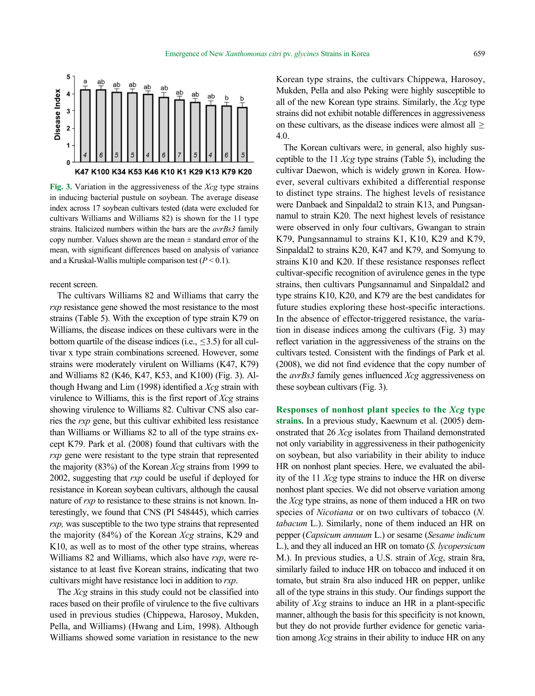

**Fig. 3.** Variation in the aggressiveness of the *Xcg* type strains in inducing bacterial pustule on soybean. The average disease index across 17 soybean cultivars tested (data were excluded for cultivars Williams and Williams 82) is shown for the 11 type strains. Italicized numbers within the bars are the *avrBs3* family copy number. Values shown are the mean  $\pm$  standard error of the mean, with significant differences based on analysis of variance and a Kruskal-Wallis multiple comparison test  $(P < 0.1)$ .

recent screen.

The cultivars Williams 82 and Williams that carry the *rxp* resistance gene showed the most resistance to the most strains (Table 5). With the exception of type strain K79 on Williams, the disease indices on these cultivars were in the bottom quartile of the disease indices (i.e.,  $\leq$ 3.5) for all cultivar x type strain combinations screened. However, some strains were moderately virulent on Williams (K47, K79) and Williams 82 (K46, K47, K53, and K100) (Fig. 3). Although Hwang and Lim (1998) identified a *Xcg* strain with virulence to Williams, this is the first report of *Xcg* strains showing virulence to Williams 82. Cultivar CNS also carries the *rxp* gene, but this cultivar exhibited less resistance than Williams or Williams 82 to all of the type strains except K79. Park et al. (2008) found that cultivars with the *rxp* gene were resistant to the type strain that represented the majority (83%) of the Korean *Xcg* strains from 1999 to 2002, suggesting that *rxp* could be useful if deployed for resistance in Korean soybean cultivars, although the causal nature of *rxp* to resistance to these strains is not known. Interestingly, we found that CNS (PI 548445), which carries *rxp*, was susceptible to the two type strains that represented the majority (84%) of the Korean *Xcg* strains, K29 and K10, as well as to most of the other type strains, whereas Williams 82 and Williams, which also have *rxp*, were resistance to at least five Korean strains, indicating that two cultivars might have resistance loci in addition to *rxp*.

The *Xcg* strains in this study could not be classified into races based on their profile of virulence to the five cultivars used in previous studies (Chippewa, Harosoy, Mukden, Pella, and Williams) (Hwang and Lim, 1998). Although Williams showed some variation in resistance to the new

Korean type strains, the cultivars Chippewa, Harosoy, Mukden, Pella and also Peking were highly susceptible to all of the new Korean type strains. Similarly, the *Xcg* type strains did not exhibit notable differences in aggressiveness on these cultivars, as the disease indices were almost all > 4.0.

The Korean cultivars were, in general, also highly susceptible to the 11 *Xcg* type strains (Table 5), including the cultivar Daewon, which is widely grown in Korea. However, several cultivars exhibited a differential response to distinct type strains. The highest levels of resistance were Danbaek and Sinpaldal2 to strain K13, and Pungsannamul to strain K20. The next highest levels of resistance were observed in only four cultivars, Gwangan to strain K79, Pungsannamul to strains K1, K10, K29 and K79, Sinpaldal2 to strains K20, K47 and K79, and Somyung to strains K10 and K20. If these resistance responses reflect cultivar-specific recognition of avirulence genes in the type strains, then cultivars Pungsannamul and Sinpaldal2 and type strains K10, K20, and K79 are the best candidates for future studies exploring these host-specific interactions. In the absence of effector-triggered resistance, the variation in disease indices among the cultivars (Fig. 3) may reflect variation in the aggressiveness of the strains on the cultivars tested. Consistent with the findings of Park et al. (2008), we did not find evidence that the copy number of the *avrBs3* family genes influenced *Xcg* aggressiveness on these soybean cultivars (Fig. 3).

**Responses of nonhost plant species to the** *Xcg* **type strains.** In a previous study, Kaewnum et al. (2005) demonstrated that 26 *Xcg* isolates from Thailand demonstrated not only variability in aggressiveness in their pathogenicity on soybean, but also variability in their ability to induce HR on nonhost plant species. Here, we evaluated the ability of the 11 *Xcg* type strains to induce the HR on diverse nonhost plant species. We did not observe variation among the *Xcg* type strains, as none of them induced a HR on two species of *Nicotiana* or on two cultivars of tobacco (*N. tabacum* L.). Similarly, none of them induced an HR on pepper (*Capsicum annuum* L.) or sesame (*Sesame indicum*  L.), and they all induced an HR on tomato (*S. lycopersicum*  M.). In previous studies, a U.S. strain of *Xcg*, strain 8ra, similarly failed to induce HR on tobacco and induced it on tomato, but strain 8ra also induced HR on pepper, unlike all of the type strains in this study. Our findings support the ability of *Xcg* strains to induce an HR in a plant-specific manner, although the basis for this specificity is not known, but they do not provide further evidence for genetic variation among *Xcg* strains in their ability to induce HR on any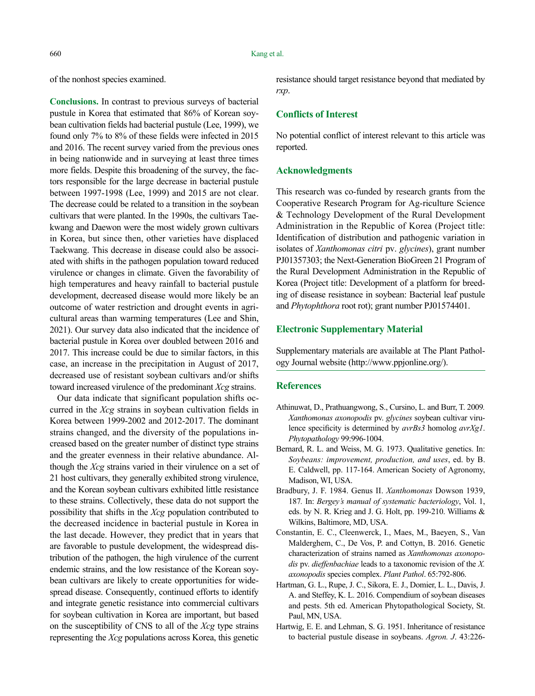of the nonhost species examined.

**Conclusions.** In contrast to previous surveys of bacterial pustule in Korea that estimated that 86% of Korean soybean cultivation fields had bacterial pustule (Lee, 1999), we found only 7% to 8% of these fields were infected in 2015 and 2016. The recent survey varied from the previous ones in being nationwide and in surveying at least three times more fields. Despite this broadening of the survey, the factors responsible for the large decrease in bacterial pustule between 1997-1998 (Lee, 1999) and 2015 are not clear. The decrease could be related to a transition in the soybean cultivars that were planted. In the 1990s, the cultivars Taekwang and Daewon were the most widely grown cultivars in Korea, but since then, other varieties have displaced Taekwang. This decrease in disease could also be associated with shifts in the pathogen population toward reduced virulence or changes in climate. Given the favorability of high temperatures and heavy rainfall to bacterial pustule development, decreased disease would more likely be an outcome of water restriction and drought events in agricultural areas than warming temperatures (Lee and Shin, 2021). Our survey data also indicated that the incidence of bacterial pustule in Korea over doubled between 2016 and 2017. This increase could be due to similar factors, in this case, an increase in the precipitation in August of 2017, decreased use of resistant soybean cultivars and/or shifts toward increased virulence of the predominant *Xcg* strains.

Our data indicate that significant population shifts occurred in the *Xcg* strains in soybean cultivation fields in Korea between 1999-2002 and 2012-2017. The dominant strains changed, and the diversity of the populations increased based on the greater number of distinct type strains and the greater evenness in their relative abundance. Although the *Xcg* strains varied in their virulence on a set of 21 host cultivars, they generally exhibited strong virulence, and the Korean soybean cultivars exhibited little resistance to these strains. Collectively, these data do not support the possibility that shifts in the *Xcg* population contributed to the decreased incidence in bacterial pustule in Korea in the last decade. However, they predict that in years that are favorable to pustule development, the widespread distribution of the pathogen, the high virulence of the current endemic strains, and the low resistance of the Korean soybean cultivars are likely to create opportunities for widespread disease. Consequently, continued efforts to identify and integrate genetic resistance into commercial cultivars for soybean cultivation in Korea are important, but based on the susceptibility of CNS to all of the *Xcg* type strains representing the *Xcg* populations across Korea, this genetic

resistance should target resistance beyond that mediated by *rxp*.

## **Conflicts of Interest**

No potential conflict of interest relevant to this article was reported.

#### **Acknowledgments**

This research was co-funded by research grants from the Cooperative Research Program for Ag-riculture Science & Technology Development of the Rural Development Administration in the Republic of Korea (Project title: Identification of distribution and pathogenic variation in isolates of *Xanthomonas citri* pv. *glycines*), grant number PJ01357303; the Next-Generation BioGreen 21 Program of the Rural Development Administration in the Republic of Korea (Project title: Development of a platform for breeding of disease resistance in soybean: Bacterial leaf pustule and *Phytophthora* root rot); grant number PJ01574401.

#### **Electronic Supplementary Material**

Supplementary materials are available at The Plant Pathology Journal website (http://www.ppjonline.org/).

#### **References**

- Athinuwat, D., Prathuangwong, S., Cursino, L. and Burr, T. 2009*. Xanthomonas axonopodis* pv. *glycines* soybean cultivar virulence specificity is determined by *avrBs3* homolog *avrXg1*. *Phytopathology* 99:996-1004.
- Bernard, R. L. and Weiss, M. G. 1973. Qualitative genetics. In: *Soybeans: improvement, production, and uses*, ed. by B. E. Caldwell, pp. 117-164. American Society of Agronomy, Madison, WI, USA.
- Bradbury, J. F. 1984. Genus II. *Xanthomonas* Dowson 1939, 187*.* In: *Bergey's manual of systematic bacteriology*, Vol. 1, eds. by N. R. Krieg and J. G. Holt, pp. 199-210. Williams & Wilkins, Baltimore, MD, USA.
- Constantin, E. C., Cleenwerck, I., Maes, M., Baeyen, S., Van Malderghem, C., De Vos, P. and Cottyn, B. 2016. Genetic characterization of strains named as *Xanthomonas axonopodis* pv. *dieffenbachiae* leads to a taxonomic revision of the *X. axonopodis* species complex. *Plant Pathol*. 65:792-806.
- Hartman, G. L., Rupe, J. C., Sikora, E. J., Domier, L. L., Davis, J. A. and Steffey, K. L. 2016. Compendium of soybean diseases and pests. 5th ed. American Phytopathological Society, St. Paul, MN, USA.
- Hartwig, E. E. and Lehman, S. G. 1951. Inheritance of resistance to bacterial pustule disease in soybeans. *Agron. J*. 43:226-